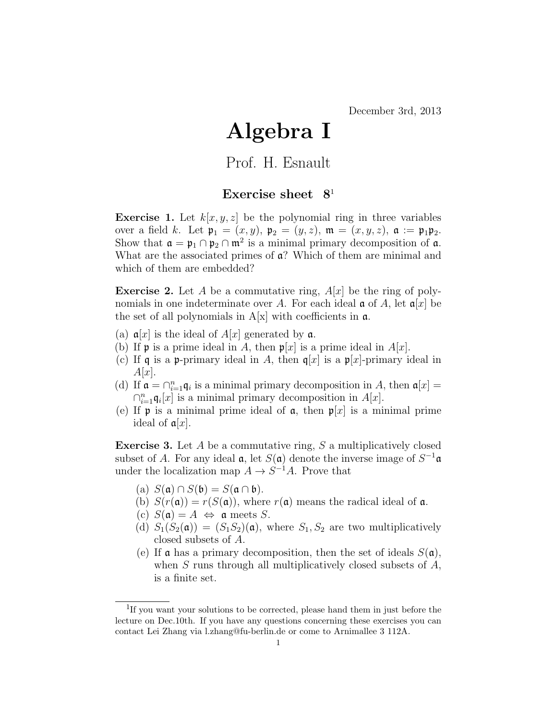## Algebra I

## Prof. H. Esnault

## Exercise sheet  $8<sup>1</sup>$

**Exercise 1.** Let  $k|x, y, z|$  be the polynomial ring in three variables over a field k. Let  $\mathfrak{p}_1 = (x, y), \mathfrak{p}_2 = (y, z), \mathfrak{m} = (x, y, z), \mathfrak{a} := \mathfrak{p}_1 \mathfrak{p}_2.$ Show that  $\mathfrak{a} = \mathfrak{p}_1 \cap \mathfrak{p}_2 \cap \mathfrak{m}^2$  is a minimal primary decomposition of  $\mathfrak{a}$ . What are the associated primes of  $a$ ? Which of them are minimal and which of them are embedded?

**Exercise 2.** Let A be a commutative ring,  $A[x]$  be the ring of polynomials in one indeterminate over A. For each ideal  $\mathfrak{a}$  of A, let  $\mathfrak{a}[x]$  be the set of all polynomials in  $A[x]$  with coefficients in  $\alpha$ .

- (a)  $a[x]$  is the ideal of  $A[x]$  generated by  $a$ .
- (b) If **p** is a prime ideal in A, then  $p[x]$  is a prime ideal in  $A[x]$ .
- (c) If q is a p-primary ideal in A, then  $q[x]$  is a p[x]-primary ideal in  $A[x]$ .
- (d) If  $\mathfrak{a} = \bigcap_{i=1}^n \mathfrak{q}_i$  is a minimal primary decomposition in A, then  $\mathfrak{a}[x] =$  $\bigcap_{i=1}^n \mathfrak{q}_i[x]$  is a minimal primary decomposition in  $A[x]$ .
- (e) If **p** is a minimal prime ideal of **a**, then  $p[x]$  is a minimal prime ideal of  $a[x]$ .

**Exercise 3.** Let  $A$  be a commutative ring,  $S$  a multiplicatively closed subset of A. For any ideal  $a$ , let  $S(a)$  denote the inverse image of  $S^{-1}a$ under the localization map  $A \to S^{-1}A$ . Prove that

- (a)  $S(\mathfrak{a}) \cap S(\mathfrak{b}) = S(\mathfrak{a} \cap \mathfrak{b}).$
- (b)  $S(r(\mathfrak{a})) = r(S(\mathfrak{a}))$ , where  $r(\mathfrak{a})$  means the radical ideal of  $\mathfrak{a}$ .
- (c)  $S(\mathfrak{a}) = A \Leftrightarrow \mathfrak{a}$  meets S.
- (d)  $S_1(S_2(\mathfrak{a})) = (S_1S_2)(\mathfrak{a})$ , where  $S_1, S_2$  are two multiplicatively closed subsets of A.
- (e) If **a** has a primary decomposition, then the set of ideals  $S(\mathfrak{a})$ , when  $S$  runs through all multiplicatively closed subsets of  $A$ , is a finite set.

<sup>&</sup>lt;sup>1</sup>If you want your solutions to be corrected, please hand them in just before the lecture on Dec.10th. If you have any questions concerning these exercises you can contact Lei Zhang via l.zhang@fu-berlin.de or come to Arnimallee 3 112A.